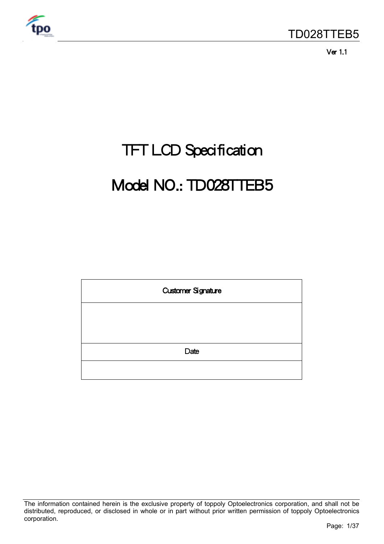

Ver 1.1

# TFT LCD Specification

# Model NO.: TD028TTEB5

| <b>Customer Signature</b> |  |  |  |  |  |
|---------------------------|--|--|--|--|--|
|                           |  |  |  |  |  |
|                           |  |  |  |  |  |
| Date                      |  |  |  |  |  |
|                           |  |  |  |  |  |

The information contained herein is the exclusive property of toppoly Optoelectronics corporation, and shall not be distributed, reproduced, or disclosed in whole or in part without prior written permission of toppoly Optoelectronics corporation.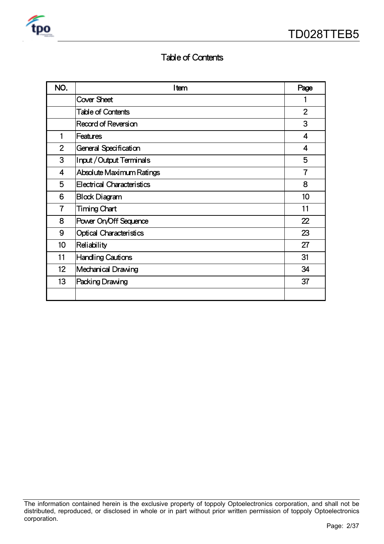

# Table of Contents

| NO.             | Item                              | Page                    |
|-----------------|-----------------------------------|-------------------------|
|                 | <b>Cover Sheet</b>                |                         |
|                 | <b>Table of Contents</b>          | $\overline{2}$          |
|                 | Record of Reversion               | 3                       |
| 1               | <b>Features</b>                   | $\overline{\mathbf{4}}$ |
| $\overline{2}$  | General Specification             | 4                       |
| 3               | <b>Input/Output Terminals</b>     | 5                       |
| 4               | <b>Absolute Maximum Ratings</b>   | $\overline{7}$          |
| 5               | <b>Electrical Characteristics</b> | 8                       |
| 6               | <b>Block Diagram</b>              | 10                      |
| $\overline{7}$  | Timing Chart                      | 11                      |
| 8               | Power On/Off Sequence             | 22                      |
| 9               | Optical Characteristics           | 23                      |
| 10              | Reliability                       | 27                      |
| 11              | <b>Handling Cautions</b>          | 31                      |
| 12 <sub>2</sub> | <b>Mechanical Drawing</b>         | 34                      |
| 13              | <b>Packing Drawing</b>            | 37                      |
|                 |                                   |                         |

The information contained herein is the exclusive property of toppoly Optoelectronics corporation, and shall not be distributed, reproduced, or disclosed in whole or in part without prior written permission of toppoly Optoelectronics corporation.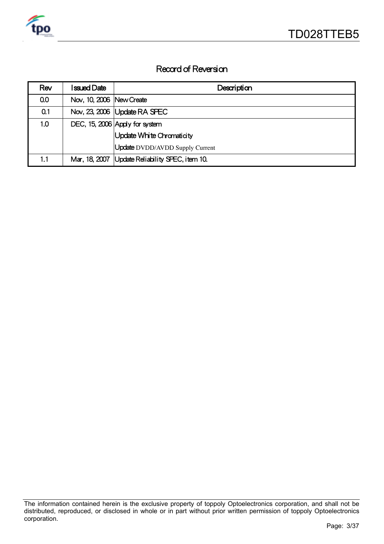

# Record of Reversion

| Rev | <b>Issued Date</b>         | Description                                     |
|-----|----------------------------|-------------------------------------------------|
| 0.0 | Nov, 10, 2006   New Create |                                                 |
| 0.1 |                            | Nov, 23, 2006   Update RA SPEC                  |
| 1.0 |                            | DEC, 15, 2006 Apply for system                  |
|     |                            | Update White Chromaticity                       |
|     |                            | <b>Update</b> DVDD/AVDD Supply Current          |
| 1.1 |                            | Mar, 18, 2007 Update Reliability SPEC, item 10. |

The information contained herein is the exclusive property of toppoly Optoelectronics corporation, and shall not be distributed, reproduced, or disclosed in whole or in part without prior written permission of toppoly Optoelectronics corporation.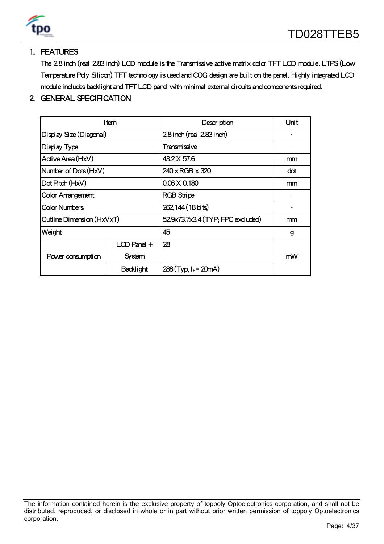

# 1. FEATURES

The 2.8 inch (real 2.83 inch) LCD module is the Transmissive active matrix color TFT LCD module. LTPS (Low Temperature Poly Silicon) TFT technology is used and COG design are built on the panel. Highly integrated LCD module includes backlight and TFT LCD panel with minimal external circuits and components required.

## 2. GENERAL SPECIFICATION

|                           | ltem             | Description                        | Unit |
|---------------------------|------------------|------------------------------------|------|
| Display Size (Diagonal)   |                  | 2.8 inch (real 2.83 inch)          |      |
| Display Type              |                  | Transmissive                       |      |
| Active Area (HxV)         |                  | 43.2 X 57.6                        | mm   |
| Number of Dots (HxV)      |                  | $240 \times$ RGB $\times$ 320      | dot  |
| Dot Pitch (HxV)           |                  | $0.06 \times 0.180$                | mm   |
| <b>Color Arrangement</b>  |                  | <b>RGB Stripe</b>                  |      |
| <b>Color Numbers</b>      |                  | 262,144 (18 bits)                  |      |
| Outline Dimension (HxVxT) |                  | 52.9x73.7x3.4 (TYP; FPC excluded)  | mm   |
| Weight                    |                  | 45                                 | g    |
|                           | $LCD$ Panel $+$  | 28                                 |      |
| Power consumption         | <b>System</b>    |                                    | mW   |
|                           | <b>Backlight</b> | $288$ (Typ, I <sub>F</sub> = 20mA) |      |

The information contained herein is the exclusive property of toppoly Optoelectronics corporation, and shall not be distributed, reproduced, or disclosed in whole or in part without prior written permission of toppoly Optoelectronics corporation.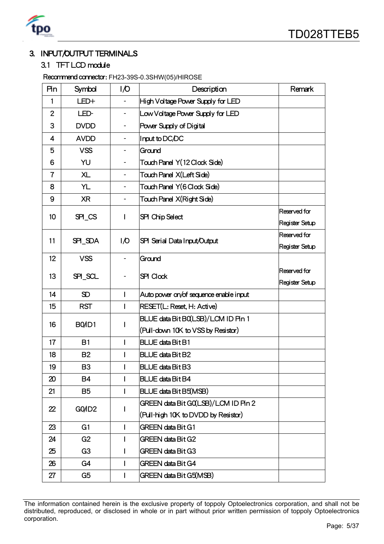

# 3. INPUT/OUTPUT TERMINALS

#### 3.1 TFT LCD module

Recommend connector: FH23-39S-0.3SHW(05)/HIROSE

| Pin            | Symbol             | I/O                      | Description                            | Remark         |
|----------------|--------------------|--------------------------|----------------------------------------|----------------|
| 1              | LED+               |                          | High Voltage Power Supply for LED      |                |
| $\overline{2}$ | LED-               |                          | Low Voltage Power Supply for LED       |                |
| 3              | <b>DVDD</b>        | $\overline{\phantom{a}}$ | Power Supply of Digital                |                |
| 4              | <b>AVDD</b>        |                          | Input to DC/DC                         |                |
| 5              | <b>VSS</b>         | ۰                        | Ground                                 |                |
| 6              | YU                 | ۰                        | Touch Panel Y(12 Clock Side)           |                |
| $\overline{7}$ | <b>XL</b>          | $\overline{\phantom{a}}$ | Touch Panel X(Left Side)               |                |
| 8              | YL                 |                          | Touch Panel Y(6 Clock Side)            |                |
| 9              | <b>XR</b>          |                          | Touch Panel X(Right Side)              |                |
| 10             | SPI_CS             | L                        | SPI Chip Select                        | Reserved for   |
|                |                    |                          |                                        | Register Setup |
| 11             | SPI_SDA            | 1/0                      | SPI Serial Data Input/Output           | Reserved for   |
|                |                    |                          |                                        | Register Setup |
| 12             | <b>VSS</b>         |                          | Ground                                 |                |
| 13             | SPI_SCL            |                          | <b>SPI Clock</b>                       | Reserved for   |
|                |                    |                          |                                        | Register Setup |
| 14             | SD                 | T                        | Auto power on/of sequence enable input |                |
| 15             | <b>RST</b>         | I                        | <b>RESET(L: Reset, H: Active)</b>      |                |
| 16             | BO/ID1             | I                        | BLUE data Bit BQLSB)/LCM ID Pin 1      |                |
|                |                    |                          | (Pull-down 10K to VSS by Resistor)     |                |
| 17             | B1                 | I                        | <b>BLUE data Bit B1</b>                |                |
| 18             | <b>B2</b>          | I                        | <b>BLUE data Bit B2</b>                |                |
| 19             | B <sub>3</sub>     | I                        | <b>BLUE data Bit B3</b>                |                |
| 20             | <b>B4</b>          | I                        | <b>BLUE data Bit B4</b>                |                |
| 21             | <b>B5</b>          | I                        | <b>BLUE data Bit B5(MSB)</b>           |                |
| 22             | GO/ID <sub>2</sub> |                          | GREEN data Bit GQ(LSB)/LCM ID Pin 2    |                |
|                |                    |                          | (Pull-high 10K to DVDD by Resistor)    |                |
| 23             | G <sub>1</sub>     | I                        | <b>GREEN data Bit G1</b>               |                |
| 24             | G2                 | ı                        | <b>GREEN data Bit G2</b>               |                |
| 25             | G <sub>3</sub>     | I                        | <b>GREEN data Bit G3</b>               |                |
| 26             | G4                 | I                        | <b>GREEN data Bit G4</b>               |                |
| 27             | G <sub>5</sub>     | L                        | GREEN data Bit G5(MSB)                 |                |

The information contained herein is the exclusive property of toppoly Optoelectronics corporation, and shall not be distributed, reproduced, or disclosed in whole or in part without prior written permission of toppoly Optoelectronics corporation.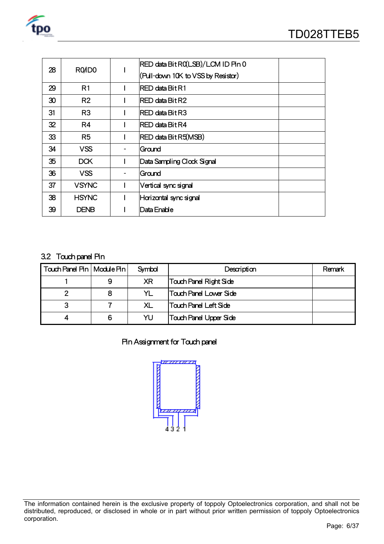

| R <sub>0</sub> I <sub>D</sub> <sub>0</sub><br>28 | RED data Bit RQLSB)/LCM ID Pin 0 |                                    |  |
|--------------------------------------------------|----------------------------------|------------------------------------|--|
|                                                  |                                  | (Pull-down 10K to VSS by Resistor) |  |
| 29                                               | R1                               | IRED data Bit R1                   |  |
| 30                                               | R <sub>2</sub>                   | IRED data Bit R2                   |  |
| 31                                               | R <sub>3</sub>                   | RED data Bit R3                    |  |
| 32                                               | R4                               | <b>RED data Bit R4</b>             |  |
| 33                                               | R <sub>5</sub>                   | RED data Bit R5(MSB)               |  |
| 34                                               | <b>VSS</b>                       | Ground                             |  |
| 35                                               | <b>DCK</b>                       | Data Sampling Clock Signal         |  |
| 36                                               | <b>VSS</b>                       | Ground                             |  |
| 37                                               | <b>VSYNC</b>                     | Vertical sync signal               |  |
| 38                                               | <b>HSYNC</b>                     | Horizontal sync signal             |  |
| 39                                               | DENB                             | Data Enable                        |  |
|                                                  |                                  |                                    |  |

#### 3.2 Touch panel Pin

| Touch Panel Pin   Module Pin |   | Symbol    | Description                   | Remark |
|------------------------------|---|-----------|-------------------------------|--------|
|                              | 9 | <b>XR</b> | <b>Touch Panel Right Side</b> |        |
|                              |   |           | Touch Panel Lower Side        |        |
|                              |   | XL        | <b>Touch Panel Left Side</b>  |        |
|                              | 6 | YU        | <b>Touch Panel Upper Side</b> |        |

## Pin Assignment for Touch panel



The information contained herein is the exclusive property of toppoly Optoelectronics corporation, and shall not be distributed, reproduced, or disclosed in whole or in part without prior written permission of toppoly Optoelectronics corporation.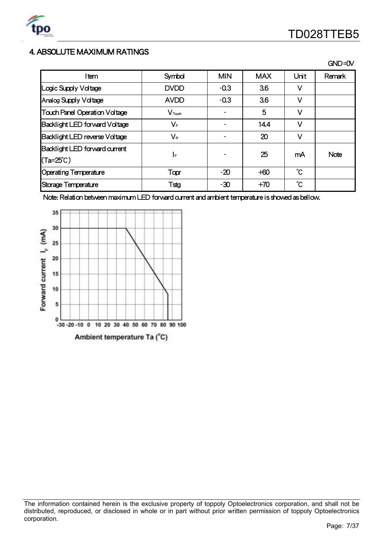

## 4. ABSOLUTE MAXIMUM RATINGS

|                                      |                         |            |            |      | GND=0V |
|--------------------------------------|-------------------------|------------|------------|------|--------|
| Item                                 | Symbol                  | <b>MIN</b> | <b>MAX</b> | Unit | Remark |
| Logic Supply Voltage                 | <b>DVDD</b>             | $-0.3$     | 3.6        | V    |        |
| Analog Supply Voltage                | <b>AVDD</b>             | $-0.3$     | 3.6        | V    |        |
| <b>Touch Panel Operation Voltage</b> | $V_{\text{Tach}}$       |            | 5          | V    |        |
| Backlight LED forward Voltage        | VF                      |            | 14.4       | V    |        |
| Backlight LED reverse Voltage        | $\mathsf{V}_\mathsf{R}$ |            | 20         | v    |        |
| Backlight LED forward current        | I⊧                      |            | 25         | mA   | Note   |
| $(Ta=25^{\circ}C)$                   |                         |            |            |      |        |
| <b>Operating Temperature</b>         | Topr                    | $-20$      | $+60$      | °С   |        |
| Storage Temperature                  | Tstg                    | $-30$      | $+70$      | °C   |        |

Note: Relation between maximum LED forward current and ambient temperature is showed as bellow.



The information contained herein is the exclusive property of toppoly Optoelectronics corporation, and shall not be distributed, reproduced, or disclosed in whole or in part without prior written permission of toppoly Optoelectronics corporation.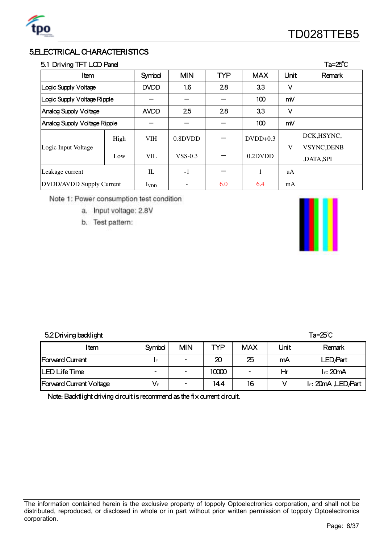

# 5.ELECTRICAL CHARACTERISTICS

## 5.1 Driving TFT LCD Panel Ta=25℃

| Item                         | Symbol | <b>MIN</b>  | <b>TYP</b> | <b>MAX</b> | Unit       | Remark |                                |
|------------------------------|--------|-------------|------------|------------|------------|--------|--------------------------------|
| Logic Supply Voltage         |        | <b>DVDD</b> | 1.6        | 2.8        | 3.3        | V      |                                |
| Logic Supply Voltage Ripple  |        |             |            |            | 100        | mV     |                                |
| Analog Supply Voltage        |        | <b>AVDD</b> | 25         | 28         | 3.3        | v      |                                |
| Analog Supply Voltage Ripple |        |             |            |            | 100        | mV     |                                |
|                              | High   | <b>VIH</b>  | 0.8DVDD    |            | $DVDD+0.3$ | V      | DCK, HSYNC,                    |
| Logic Input Voltage          | Low    | VIL         | $VSS-0.3$  |            | 0.2DVDD    |        | <b>VSYNC,DENB</b><br>,DATA,SPI |
| Leakage current              |        | IL          | $-1$       |            | 1          | uA     |                                |
| DVDD/AVDD Supply Current     |        | $I_{VDD}$   |            | 6.0        | 6.4        | mA     |                                |

Note 1: Power consumption test condition

a. Input voltage: 2.8V

b. Test pattern:



#### 5.2Driving backlight Ta=25℃

| l tem                          | Symbol                   | <b>MIN</b>               | <b>TYP</b> | <b>MAX</b> | Unit | Remark             |
|--------------------------------|--------------------------|--------------------------|------------|------------|------|--------------------|
| <b>Forward Current</b>         | IF                       | $\overline{\phantom{0}}$ | 20         | 25         | mA   | LED/Part           |
| LED Life Time                  | $\overline{\phantom{0}}$ | $\overline{\phantom{a}}$ | 10000      |            | Hr   | $I_F$ : 20mA       |
| <b>Forward Current Voltage</b> | $V_F$                    | ٠                        | 14.4       | 16         |      | IF: 20mA, LED/Part |

Note: Backtlight driving circuit is recommend as the fix current circuit.

The information contained herein is the exclusive property of toppoly Optoelectronics corporation, and shall not be distributed, reproduced, or disclosed in whole or in part without prior written permission of toppoly Optoelectronics corporation.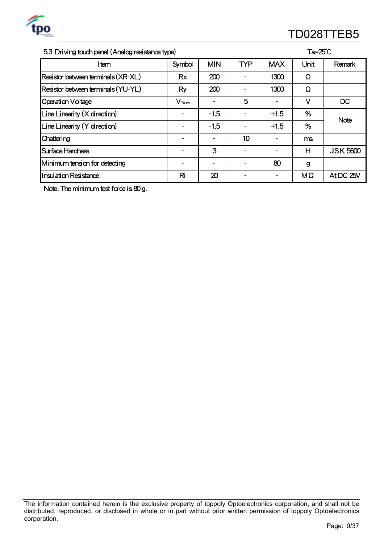

# <u>po</u>stal and the control of the control of the control of the control of the control of the control of the control of the control of the control of the control of the control of the control of the control of the control of

#### 5.3 Driving touch panel (Analog resistance type) Ta=25℃

| Item                               | Symbol             | <b>MIN</b> | <b>TYP</b> | <b>MAX</b>               | Unit | Remark          |  |
|------------------------------------|--------------------|------------|------------|--------------------------|------|-----------------|--|
| Resistor between terminals (XR-XL) | <b>Rx</b>          | 200        |            | 1300                     | Ω    |                 |  |
| Resistor between terminals (YU-YL) | Ry                 | 200        |            | 1300                     | Ω    |                 |  |
| <b>Operation Voltage</b>           | $V_{\text{Touch}}$ |            | 5          |                          | V    | DC              |  |
| Line Linearity $(X$ direction)     |                    | $-1.5$     |            | $+1.5$                   | %    | Note            |  |
| $Line$ Linearity $(Y$ direction)   |                    | $-1.5$     |            | $+1.5$                   | %    |                 |  |
| Chattering                         |                    |            | 10         | $\overline{\phantom{a}}$ | ms   |                 |  |
| Surface Hardness                   |                    | 3          |            | ٠                        | н    | <b>JSK 5600</b> |  |
| Minimum tension for detecting      |                    |            |            | 80                       | g    |                 |  |
| <b>Insulation Resistance</b>       | Ri                 | 20         |            |                          | MΩ   | At DC 25V       |  |

Note. The minimum test force is 80 g.

The information contained herein is the exclusive property of toppoly Optoelectronics corporation, and shall not be distributed, reproduced, or disclosed in whole or in part without prior written permission of toppoly Optoelectronics corporation.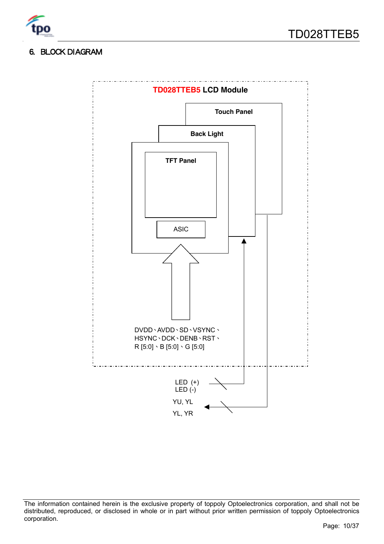

# 6. BLOCK DIAGRAM



The information contained herein is the exclusive property of toppoly Optoelectronics corporation, and shall not be distributed, reproduced, or disclosed in whole or in part without prior written permission of toppoly Optoelectronics corporation.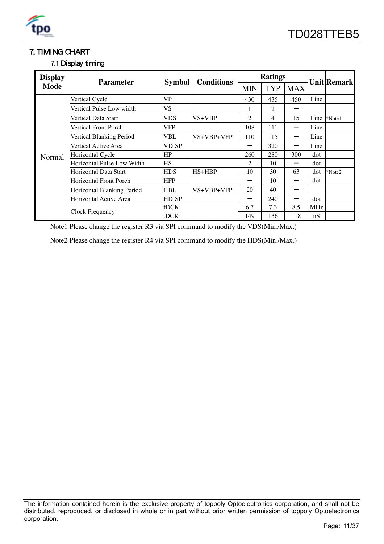

# 7. TIMING CHART

# 7.1 Display timing

| <b>Display</b> | <b>Parameter</b>              | <b>Symbol</b> | <b>Conditions</b> |            | <b>Ratings</b> |            | <b>Unit Remark</b> |          |
|----------------|-------------------------------|---------------|-------------------|------------|----------------|------------|--------------------|----------|
| <b>Mode</b>    |                               |               |                   | <b>MIN</b> | <b>TYP</b>     | <b>MAX</b> |                    |          |
|                | Vertical Cycle                | VP            |                   | 430        | 435            | 450        | Line               |          |
|                | Vertical Pulse Low width      | VS            |                   |            | 2              |            |                    |          |
|                | Vertical Data Start           | VDS           | VS+VBP            | 2          | 4              | 15         | Line               | *Note1   |
|                | Vertical Front Porch          | VFP           |                   | 108        | 111            |            | Line               |          |
|                | Vertical Blanking Period      | VBL           | VS+VBP+VFP        | 110        | 115            |            | Line               |          |
|                | Vertical Active Area          | VDISP         |                   |            | 320            |            | Line               |          |
| Normal         | Horizontal Cycle              | HP            |                   | 260        | 280            | 300        | dot                |          |
|                | Horizontal Pulse Low Width    | HS            |                   | 2          | 10             |            | dot                |          |
|                | Horizontal Data Start         | <b>HDS</b>    | $HS+HBP$          | 10         | 30             | 63         | dot                | $*Note2$ |
|                | <b>Horizontal Front Porch</b> | <b>HFP</b>    |                   |            | 10             |            | dot                |          |
|                | Horizontal Blanking Period    | HBL           | VS+VBP+VFP        | 20         | 40             |            |                    |          |
|                | Horizontal Active Area        | <b>HDISP</b>  |                   |            | 240            |            | dot                |          |
|                |                               | <b>fDCK</b>   |                   | 6.7        | 7.3            | 8.5        | MHz                |          |
|                | Clock Frequency               | tDCK          |                   | 149        | 136            | 118        | nS                 |          |

Note1 Please change the register R3 via SPI command to modify the VDS(Min./Max.)

Note2 Please change the register R4 via SPI command to modify the HDS(Min./Max.)

The information contained herein is the exclusive property of toppoly Optoelectronics corporation, and shall not be distributed, reproduced, or disclosed in whole or in part without prior written permission of toppoly Optoelectronics corporation.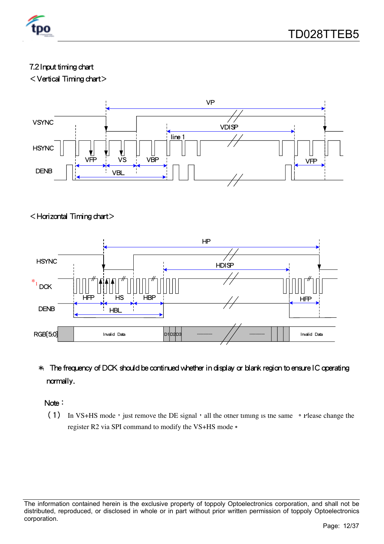

# 7.2 Input timing chart

<Vertical Timing chart>



# <Horizontal Timing chart>



# \*1 The frequency of DCK should be continued whether in display or blank region to ensure IC operating normally.

Note:

(1) In VS+HS mode, just remove the DE signal, all the other timing is the same • Please change the register R2 via SPI command to modify the VS+HS mode。

The information contained herein is the exclusive property of toppoly Optoelectronics corporation, and shall not be distributed, reproduced, or disclosed in whole or in part without prior written permission of toppoly Optoelectronics corporation.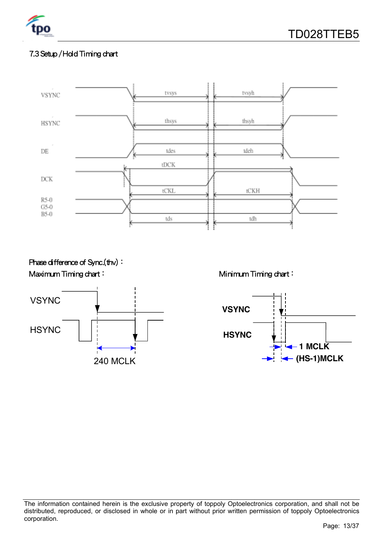

# 7.3 Setup / Hold Timing chart



Phase difference of Sync.(thv): Maximum Timing chart: Minimum Timing chart:





The information contained herein is the exclusive property of toppoly Optoelectronics corporation, and shall not be distributed, reproduced, or disclosed in whole or in part without prior written permission of toppoly Optoelectronics corporation.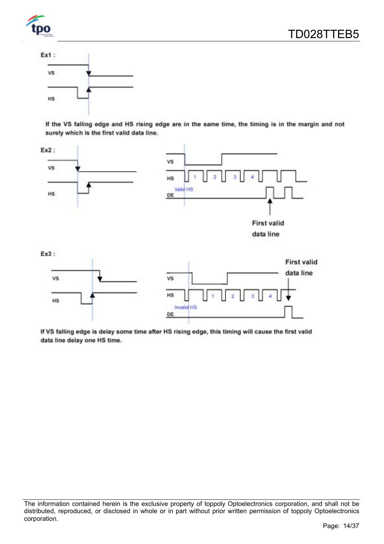



If the VS falling edge and HS rising edge are in the same time, the timing is in the margin and not surely which is the first valid data line.



If VS falling edge is delay some time after HS rising edge, this timing will cause the first valid data line delay one HS time.

The information contained herein is the exclusive property of toppoly Optoelectronics corporation, and shall not be distributed, reproduced, or disclosed in whole or in part without prior written permission of toppoly Optoelectronics corporation.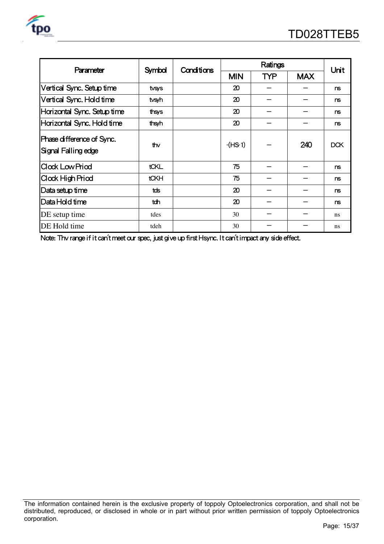| <b>Parameter</b>                                 | <b>Symbol</b> | Conditions |            | Unit       |            |               |
|--------------------------------------------------|---------------|------------|------------|------------|------------|---------------|
|                                                  |               |            | <b>MIN</b> | <b>TYP</b> | <b>MAX</b> |               |
| Vertical Sync. Setup time                        | tvsys         |            | 20         |            |            | ns            |
| Vertical Sync. Hold time                         | tvsyh         |            | 20         |            |            | ns            |
| Horizontal Sync. Setup time                      | thsys         |            | 20         |            |            | ns            |
| Horizontal Sync. Hold time                       | thsyh         |            | 20         |            |            | ns            |
| Phase difference of Sync.<br>Signal Falling edge | thv           |            | $-(HS 1)$  |            | 240        | DCK           |
| <b>Clock Low Priod</b>                           | tCKL          |            | 75         |            |            | ns            |
| Clock High Priod                                 | <b>tCKH</b>   |            | 75         |            |            | ns            |
| Data setup time                                  | tds           |            | 20         |            |            | ns            |
| Data Hold time                                   | tdh           |            | 20         |            |            | ns            |
| DE setup time                                    | tdes          |            | 30         |            |            | <sub>ns</sub> |
| DE Hold time                                     | tdeh          |            | 30         |            |            | ns            |

Note: Thv range if it can't meet our spec, just give up first Hsync. It can't impact any side effect.

The information contained herein is the exclusive property of toppoly Optoelectronics corporation, and shall not be distributed, reproduced, or disclosed in whole or in part without prior written permission of toppoly Optoelectronics corporation.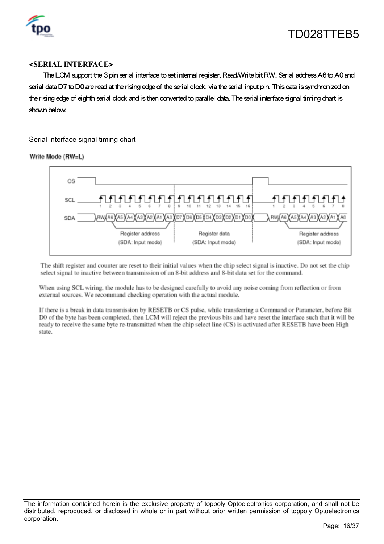

#### **<SERIAL INTERFACE>**

The LCM support the 3-pin serial interface to set internal register. Read/Write bit RW, Serial address A6 to A0 and serial data D7 to D0 are read at the rising edge of the serial clock, via the serial input pin. This data is synchronized on the rising edge of eighth serial clock and is then converted to parallel data. The serial interface signal timing chart is shown below.

Serial interface signal timing chart

Write Mode (RW=L)



The shift register and counter are reset to their initial values when the chip select signal is inactive. Do not set the chip select signal to inactive between transmission of an 8-bit address and 8-bit data set for the command.

When using SCL wiring, the module has to be designed carefully to avoid any noise coming from reflection or from external sources. We recommand checking operation with the actual module.

If there is a break in data transmission by RESETB or CS pulse, while transferring a Command or Parameter, before Bit DO of the byte has been completed, then LCM will reject the previous bits and have reset the interface such that it will be ready to receive the same byte re-transmitted when the chip select line (CS) is activated after RESETB have been High state.

The information contained herein is the exclusive property of toppoly Optoelectronics corporation, and shall not be distributed, reproduced, or disclosed in whole or in part without prior written permission of toppoly Optoelectronics corporation.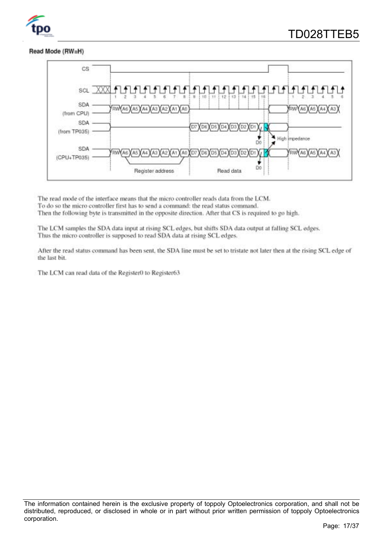

#### Read Mode (RW=H)



The read mode of the interface means that the micro controller reads data from the LCM. To do so the micro controller first has to send a command: the read status command. Then the following byte is transmitted in the opposite direction. After that CS is required to go high.

The LCM samples the SDA data input at rising SCL edges, but shifts SDA data output at falling SCL edges. Thus the micro controller is supposed to read SDA data at rising SCL edges.

After the read status command has been sent, the SDA line must be set to tristate not later then at the rising SCL edge of the last bit.

The LCM can read data of the Register0 to Register63.

The information contained herein is the exclusive property of toppoly Optoelectronics corporation, and shall not be distributed, reproduced, or disclosed in whole or in part without prior written permission of toppoly Optoelectronics corporation.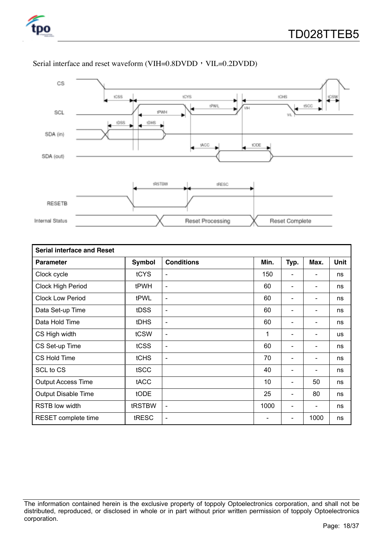



#### Serial interface and reset waveform (VIH=0.8DVDD, VIL=0.2DVDD)

| <b>Serial interface and Reset</b> |               |                          |      |                          |                          |             |  |  |  |
|-----------------------------------|---------------|--------------------------|------|--------------------------|--------------------------|-------------|--|--|--|
| <b>Parameter</b>                  | <b>Symbol</b> | <b>Conditions</b>        | Min. | Typ.                     | Max.                     | <b>Unit</b> |  |  |  |
| Clock cycle                       | <b>tCYS</b>   | $\overline{\phantom{a}}$ | 150  |                          | $\overline{\phantom{a}}$ | ns          |  |  |  |
| Clock High Period                 | tPWH          | $\overline{\phantom{a}}$ | 60   |                          | $\blacksquare$           | ns          |  |  |  |
| <b>Clock Low Period</b>           | tPWL          | $\blacksquare$           | 60   |                          | $\overline{\phantom{a}}$ | ns          |  |  |  |
| Data Set-up Time                  | tDSS          | $\blacksquare$           | 60   |                          | $\blacksquare$           | ns          |  |  |  |
| Data Hold Time                    | <b>tDHS</b>   | $\overline{\phantom{a}}$ | 60   |                          | $\overline{\phantom{a}}$ | ns          |  |  |  |
| CS High width                     | tCSW          | $\overline{\phantom{a}}$ | 1    |                          | $\blacksquare$           | <b>us</b>   |  |  |  |
| CS Set-up Time                    | tCSS          | $\overline{\phantom{a}}$ | 60   | $\overline{\phantom{a}}$ | $\overline{\phantom{a}}$ | ns          |  |  |  |
| CS Hold Time                      | tCHS          | $\overline{\phantom{a}}$ | 70   |                          | $\blacksquare$           | ns          |  |  |  |
| SCL to CS                         | tSCC          |                          | 40   |                          | $\overline{\phantom{a}}$ | ns          |  |  |  |
| <b>Output Access Time</b>         | tACC          |                          | 10   |                          | 50                       | ns          |  |  |  |
| <b>Output Disable Time</b>        | tODE          |                          | 25   |                          | 80                       | ns          |  |  |  |
| <b>RSTB low width</b>             | tRSTBW        | $\overline{\phantom{a}}$ | 1000 |                          |                          | ns          |  |  |  |
| RESET complete time               | tRESC         | $\overline{\phantom{a}}$ |      |                          | 1000                     | ns          |  |  |  |

The information contained herein is the exclusive property of toppoly Optoelectronics corporation, and shall not be distributed, reproduced, or disclosed in whole or in part without prior written permission of toppoly Optoelectronics corporation.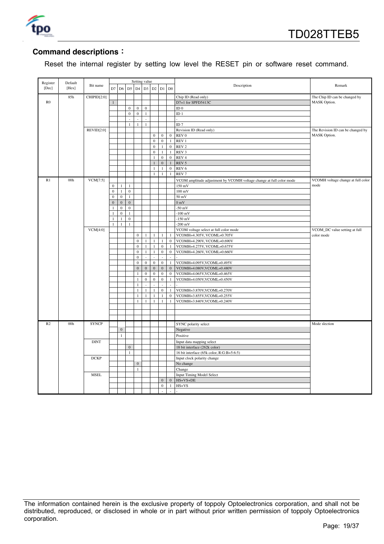

#### **Command descriptions**:

Reset the internal register by setting low level the RESET pin or software reset command.

| Register    | Default         |              |                                |                              |                                  | Setting value    |                  |                              |                               |                             |                                                                      |                                    |
|-------------|-----------------|--------------|--------------------------------|------------------------------|----------------------------------|------------------|------------------|------------------------------|-------------------------------|-----------------------------|----------------------------------------------------------------------|------------------------------------|
| [Dec]       | [Hex]           | Bit name     |                                |                              | D7 D6 D5                         | D4               |                  |                              | D3 D2 D1 D0                   |                             | Description                                                          | Remark                             |
|             | 85h             | CHIPID[2:0]  |                                |                              |                                  |                  |                  |                              |                               |                             | Chip ID (Read only)                                                  | The Chip ID can be changed by      |
| $_{\rm R0}$ |                 |              |                                |                              |                                  |                  |                  |                              |                               |                             | D7=1 for SPFD5413C                                                   | MASK Option.                       |
|             |                 |              |                                |                              | $\bf 0$                          | $\bf{0}$         | $\bf{0}$         |                              |                               |                             | ID $0$                                                               |                                    |
|             |                 |              |                                |                              | $\mathbf{0}$                     | $\boldsymbol{0}$ | $\,1\,$          |                              |                               |                             | ID <sub>1</sub>                                                      |                                    |
|             |                 |              |                                |                              | L.                               | L.               | $\bar{a}$        |                              |                               |                             |                                                                      |                                    |
|             |                 |              |                                |                              | $\mathbf{1}$                     | $\mathbf{1}$     | $\mathbf{1}$     |                              |                               |                             | ID <sub>7</sub>                                                      |                                    |
|             |                 | REVID[2:0]   |                                |                              |                                  |                  |                  |                              |                               |                             | Revision ID (Read only)                                              | The Revision ID can be changed by  |
|             |                 |              |                                |                              |                                  |                  |                  | $\boldsymbol{0}$             | $\overline{0}$                | $\bf{0}$                    | $\ensuremath{\mathop{\rm REV}}\nolimits 0$                           | MASK Option.                       |
|             |                 |              |                                |                              |                                  |                  |                  | $\mathbf{0}$                 | $\mathbf{0}$                  | $\mathbf{1}$                | REV <sub>1</sub>                                                     |                                    |
|             |                 |              |                                |                              |                                  |                  |                  | $\boldsymbol{0}$             | $\mathbf{1}$                  | $\mathbf{0}$                | REV <sub>2</sub>                                                     |                                    |
|             |                 |              |                                |                              |                                  |                  |                  | $\mathbf{0}$                 | $\mathbf{1}$                  |                             | 1 REV 3                                                              |                                    |
|             |                 |              |                                |                              |                                  |                  |                  | 1                            | $\mathbf 0$<br>$\overline{0}$ | $\bf{0}$                    | REV <sub>4</sub>                                                     |                                    |
|             |                 |              |                                |                              |                                  |                  |                  | $\mathbf{1}$<br>$\mathbf{1}$ | $\mathbf{1}$                  | $\mathbf{1}$<br>$\mathbf 0$ | REV 5<br>REV <sub>6</sub>                                            |                                    |
|             |                 |              |                                |                              |                                  |                  |                  | 1                            | $\mathbf{1}$                  | $\mathbf{1}$                | REV <sub>7</sub>                                                     |                                    |
|             |                 |              |                                |                              |                                  |                  |                  |                              |                               |                             |                                                                      |                                    |
| R1          | 00 <sub>h</sub> | VCM[7:5]     |                                |                              |                                  |                  |                  |                              |                               |                             | VCOM amplitude adjustment by VCOMH voltage change at full color mode | VCOMH voltage change at full color |
|             |                 |              | $\mathbf{0}$                   | $\mathbf{1}$                 | $\mathbf{1}$                     |                  |                  |                              |                               |                             | 150 mV                                                               | mode                               |
|             |                 |              | $\mathbf 0$<br>$\overline{0}$  | $\,1$                        | $\boldsymbol{0}$                 |                  |                  |                              |                               |                             | $100 \text{ mV}$                                                     |                                    |
|             |                 |              |                                | $\boldsymbol{0}$             | $\mathbf{1}$                     |                  |                  |                              |                               |                             | $50 \text{ mV}$                                                      |                                    |
|             |                 |              | $\overline{0}$<br>$\mathbf{1}$ | $\mathbf{0}$<br>$\mathbf{0}$ | $\boldsymbol{0}$<br>$\mathbf{0}$ |                  |                  |                              |                               |                             | 0 <sub>m</sub><br>$-50$ mV                                           |                                    |
|             |                 |              | 1                              | $\mathbf{0}$                 | $\mathbf{1}$                     |                  |                  |                              |                               |                             | $-100$ mV                                                            |                                    |
|             |                 |              | $\mathbf{1}$                   | $\mathbf{1}$                 | $\bf 0$                          |                  |                  |                              |                               |                             | $-150$ mV                                                            |                                    |
|             |                 |              | $\mathbf{1}$                   | $\mathbf{1}$                 | $\,1\,$                          |                  |                  |                              |                               |                             | $-200$ mV                                                            |                                    |
|             |                 | VCM[4:0]     |                                |                              |                                  |                  |                  |                              |                               |                             | VCOM voltage select at full color mode                               | VCOM_DC value setting at full      |
|             |                 |              |                                |                              |                                  | $\boldsymbol{0}$ | $\mathbf{1}$     | $\mathbf{1}$                 | $\mathbf{1}$                  | $\overline{1}$              | VCOMH=4.305V, VCOML=0.705V                                           | color mode                         |
|             |                 |              |                                |                              |                                  | $\boldsymbol{0}$ | 1                | $\mathbf{1}$                 | $\mathbf{1}$                  | $\bf{0}$                    | VCOMH=4.290V, VCOML=0.690V                                           |                                    |
|             |                 |              |                                |                              |                                  | $\mathbf{0}$     | $\mathbf{1}$     | $\mathbf{1}$                 | $\mathbf{0}$                  | $\mathbf{1}$                | VCOMH=4.275V, VCOML=0.675V                                           |                                    |
|             |                 |              |                                |                              |                                  | $\boldsymbol{0}$ | $\mathbf{1}$     | $\mathbf{1}$                 | $\mathbf{0}$                  | $\mathbf{0}$                | VCOMH=4.260V, VCOML=0.660V                                           |                                    |
|             |                 |              |                                |                              |                                  | $\mathbf{0}$     | $\sim$           | L.                           | L,                            | ä,                          |                                                                      |                                    |
|             |                 |              |                                |                              |                                  | $\boldsymbol{0}$ | $\boldsymbol{0}$ | $\boldsymbol{0}$             | $\boldsymbol{0}$              | $\mathbf{1}$                | VCOMH=4.095V,VCOML=0.495V                                            |                                    |
|             |                 |              |                                |                              |                                  | $\boldsymbol{0}$ | $\boldsymbol{0}$ | $\boldsymbol{0}$             | $\mathbf{0}$                  | $\bf{0}$                    | VCOMH=4.080V,VCOML=0.480V                                            |                                    |
|             |                 |              |                                |                              |                                  | $\mathbf{1}$     | $\boldsymbol{0}$ | $\mathbf{0}$                 | $\mathbf{0}$                  | $\mathbf{0}$                | VCOMH=4.065V,VCOML=0.465V                                            |                                    |
|             |                 |              |                                |                              |                                  | $\mathbf{1}$     | $\bf{0}$         | $\boldsymbol{0}$             | $\mathbf{0}$                  | $\mathbf{1}$                | VCOMH=4.050V,VCOML=0.450V                                            |                                    |
|             |                 |              |                                |                              |                                  | $\mathbf{1}$     |                  |                              | ÷,                            |                             |                                                                      |                                    |
|             |                 |              |                                |                              |                                  | $\,1\,$          | $\,1\,$          | $1\,$                        | $\boldsymbol{0}$              | $\mathbf{1}$                | VCOMH=3.870V,VCOML=0.270V                                            |                                    |
|             |                 |              |                                |                              |                                  | $\mathbf{1}$     | 1                | $\mathbf{1}$                 | $\mathbf{1}$                  | $\mathbf{0}$                | VCOMH=3.855V,VCOML=0.255V                                            |                                    |
|             |                 |              |                                |                              |                                  | $\mathbf{1}$     | $\mathbf{1}$     | $\overline{1}$               | $\mathbf{1}$                  | $\mathbf{1}$                | VCOMH=3.840V,VCOML=0.240V                                            |                                    |
|             |                 |              |                                |                              |                                  |                  |                  |                              |                               |                             |                                                                      |                                    |
|             |                 |              |                                |                              |                                  |                  |                  |                              |                               |                             |                                                                      |                                    |
|             |                 |              |                                |                              |                                  |                  |                  |                              |                               |                             |                                                                      |                                    |
| R2          | 00h             | <b>SYNCP</b> |                                |                              |                                  |                  |                  |                              |                               |                             | SYNC polarity select                                                 | Mode slection                      |
|             |                 |              |                                | $\boldsymbol{0}$             |                                  |                  |                  |                              |                               |                             | Negative                                                             |                                    |
|             |                 |              |                                | $\mathbf{1}$                 |                                  |                  |                  |                              |                               |                             | Positive                                                             |                                    |
|             |                 | <b>DINT</b>  |                                |                              |                                  |                  |                  |                              |                               |                             | Input data mapping select                                            |                                    |
|             |                 |              |                                |                              | $\boldsymbol{0}$                 |                  |                  |                              |                               |                             | 18 bit interface (262k color)                                        |                                    |
|             |                 |              |                                |                              | $\mathbf{1}$                     |                  |                  |                              |                               |                             | 16 bit interface (65k color, R:G:B=5:6:5)                            |                                    |
|             |                 | <b>DCKP</b>  |                                |                              |                                  |                  |                  |                              |                               |                             | Input clock polarity change                                          |                                    |
|             |                 |              |                                |                              |                                  | $\mathbf{0}$     |                  |                              |                               |                             | No change                                                            |                                    |
|             |                 |              |                                |                              |                                  | $\mathbf{1}$     |                  |                              |                               |                             | Change                                                               |                                    |
|             |                 | <b>MSEL</b>  |                                |                              |                                  |                  |                  |                              |                               |                             | <b>Input Timing Model Select</b>                                     |                                    |
|             |                 |              |                                |                              |                                  |                  |                  |                              | $\mathbf{0}$                  | $\boldsymbol{0}$            | HS+VS+DE                                                             |                                    |
|             |                 |              |                                |                              |                                  |                  |                  |                              | $\overline{0}$                | $\mathbf{1}$                | $HS+VS$                                                              |                                    |
|             |                 |              |                                |                              |                                  |                  |                  |                              | L,                            | $\bar{\mathcal{A}}$         |                                                                      |                                    |

The information contained herein is the exclusive property of toppoly Optoelectronics corporation, and shall not be distributed, reproduced, or disclosed in whole or in part without prior written permission of toppoly Optoelectronics corporation.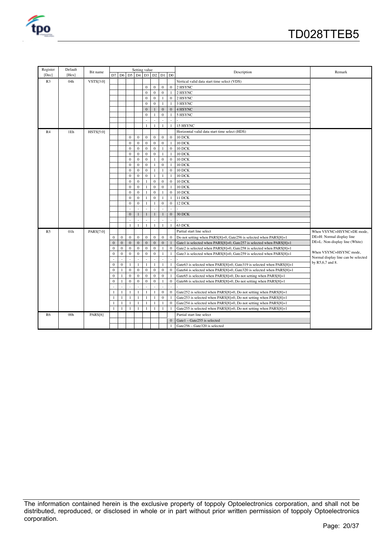

| Register       | Default         |           |                |                |                         | Setting value    |                  |                  |                  |                  |                                                                       |                                     |  |  |
|----------------|-----------------|-----------|----------------|----------------|-------------------------|------------------|------------------|------------------|------------------|------------------|-----------------------------------------------------------------------|-------------------------------------|--|--|
| [Dec]          | [Hex]           | Bit name  |                |                | D7 D6 D5 D4 D3 D2 D1 D0 |                  |                  |                  |                  |                  | Description                                                           | Remark                              |  |  |
| R <sub>3</sub> | 04h             | VSTS[3:0] |                |                |                         |                  |                  |                  |                  |                  | Vertical valid data start time select (VDS)                           |                                     |  |  |
|                |                 |           |                |                |                         |                  | $\mathbf{0}$     | $\mathbf{0}$     | $\mathbf{0}$     | $\mathbf{0}$     | 2 HSYNC                                                               |                                     |  |  |
|                |                 |           |                |                |                         |                  | $\mathbf{0}$     | $\mathbf{0}$     | $\mathbf{0}$     | $\mathbf{1}$     | 2 HSYNC                                                               |                                     |  |  |
|                |                 |           |                |                |                         |                  | $\mathbf{0}$     | $\mathbf{0}$     | $\mathbf{1}$     | $\mathbf{0}$     | 2 HSYNC                                                               |                                     |  |  |
|                |                 |           |                |                |                         |                  | $\mathbf{0}$     | $\Omega$         | $\mathbf{1}$     | 1                | 3 HSYNC                                                               |                                     |  |  |
|                |                 |           |                |                |                         |                  | $\mathbf{0}$     |                  | $\mathbf{0}$     | $\mathbf{0}$     | 4 HSYNC                                                               |                                     |  |  |
|                |                 |           |                |                |                         |                  | $\mathbf{0}$     | $\mathbf{1}$     | $\boldsymbol{0}$ | 1                | 5 HSYNC                                                               |                                     |  |  |
|                |                 |           |                |                |                         |                  |                  |                  |                  |                  |                                                                       |                                     |  |  |
|                |                 |           |                |                |                         |                  | $\mathbf{1}$     |                  | 1                | $\overline{1}$   | 15 HSYNC                                                              |                                     |  |  |
| R4             | 1Eh             | HSTS[5:0] |                |                |                         |                  |                  |                  |                  |                  | Horizontal valid data start time select (HDS)                         |                                     |  |  |
|                |                 |           |                |                | $\mathbf{0}$            | $\boldsymbol{0}$ | $\mathbf{0}$     | $\mathbf{0}$     | $\mathbf{0}$     | $\mathbf{0}$     | 10 DCK                                                                |                                     |  |  |
|                |                 |           |                |                | $\mathbf{0}$            | $\mathbf{0}$     | $\mathbf{0}$     | $\mathbf{0}$     | $\mathbf{0}$     | $\mathbf{1}$     | 10 DCK                                                                |                                     |  |  |
|                |                 |           |                |                | $\Omega$                | $\theta$         | $\mathbf{0}$     | $\mathbf{0}$     | $\mathbf{1}$     | $\mathbf{0}$     | 10 DCK                                                                |                                     |  |  |
|                |                 |           |                |                | $\mathbf{0}$            | $\mathbf{0}$     | $\mathbf{0}$     | $\mathbf{0}$     | $\mathbf{1}$     | $\mathbf{1}$     | 10 DCK                                                                |                                     |  |  |
|                |                 |           |                |                | $\mathbf{0}$            | $\mathbf{0}$     | $\mathbf{0}$     | $\mathbf{1}$     | $\boldsymbol{0}$ | $\bf{0}$         | 10 DCK                                                                |                                     |  |  |
|                |                 |           |                |                | $\theta$                | $\mathbf{0}$     | $\mathbf{0}$     |                  | $\mathbf{0}$     |                  | 10 DCK                                                                |                                     |  |  |
|                |                 |           |                |                | $\mathbf{0}$            | $\mathbf{0}$     | $\mathbf{0}$     | $\mathbf{1}$     | $\mathbf{1}$     | $\boldsymbol{0}$ | 10 DCK                                                                |                                     |  |  |
|                |                 |           |                |                | $\mathbf{0}$            | $\mathbf{0}$     | $\boldsymbol{0}$ | $\mathbf{1}$     | $\mathbf{1}$     |                  | 10 DCK                                                                |                                     |  |  |
|                |                 |           |                |                | $\mathbf{0}$            | $\mathbf{0}$     | $\mathbf{1}$     | $\mathbf{0}$     | $\mathbf{0}$     | $\mathbf{0}$     | 10 DCK                                                                |                                     |  |  |
|                |                 |           |                |                | $\mathbf{0}$            | $\mathbf{0}$     | $\mathbf{1}$     | $\mathbf{0}$     | $\boldsymbol{0}$ |                  | 10 DCK                                                                |                                     |  |  |
|                |                 |           |                |                | $\mathbf{0}$            | $\mathbf{0}$     | $\mathbf{1}$     | $\mathbf{0}$     | $\mathbf{1}$     | $\boldsymbol{0}$ | 10 DCK                                                                |                                     |  |  |
|                |                 |           |                |                | $\Omega$                | $\Omega$         | 1                | $\mathbf{0}$     | $\mathbf{1}$     | $\mathbf{1}$     | 11 DCK                                                                |                                     |  |  |
|                |                 |           |                |                | $\overline{0}$          | $\mathbf{0}$     | $\mathbf{1}$     | $\mathbf{1}$     | $\mathbf{0}$     | $\mathbf{0}$     | 12 DCK                                                                |                                     |  |  |
|                |                 |           |                |                |                         |                  |                  |                  |                  |                  |                                                                       |                                     |  |  |
|                |                 |           |                |                | $\mathbf{0}$            |                  | $\mathbf{1}$     | $\mathbf{1}$     |                  | $\mathbf{0}$     | 30 DCK                                                                |                                     |  |  |
|                |                 |           |                |                |                         |                  | $\overline{a}$   | ÷.               |                  | ÷.               |                                                                       |                                     |  |  |
|                |                 |           |                |                | $\overline{1}$          | $\mathbf{1}$     | $\mathbf{1}$     | $\mathbf{1}$     | $\mathbf{1}$     | $\mathbf{1}$     | 63 DCK                                                                |                                     |  |  |
| R <sub>5</sub> | 01 <sub>h</sub> | PARS[7:0] |                |                |                         |                  |                  |                  |                  |                  | Partial start line select                                             | When VSYNC+HSYNC+DE mode,           |  |  |
|                |                 |           | 0              | $\bf{0}$       | $\boldsymbol{0}$        | $\mathbf{0}$     | $\mathbf{0}$     | $\mathbf{0}$     | $\bf{0}$         | $\bf{0}$         | Do not setting when PARS[8]=0, Gate256 is selected when PARS[8]=1     | DE=H: Normal display line           |  |  |
|                |                 |           | $\overline{0}$ | $\overline{0}$ | $\mathbf{0}$            | $\mathbf{0}$     | $\boldsymbol{0}$ | $\mathbf{0}$     | $\overline{0}$   |                  | Gate1 is selected when PARS[8]=0, Gate257 is selected when PARS[8]=1  | DE=L: Non-display line (White)      |  |  |
|                |                 |           | $\mathbf{0}$   | $\mathbf{0}$   | $\mathbf{0}$            | $\mathbf{0}$     | $\mathbf{0}$     | $\mathbf{0}$     |                  | $\mathbf{0}$     | Gate2 is selected when PARS[8]=0, Gate258 is selected when PARS[8]=1  |                                     |  |  |
|                |                 |           | $\mathbf{0}$   | $\bf{0}$       | $\boldsymbol{0}$        | $\boldsymbol{0}$ | $\boldsymbol{0}$ | $\boldsymbol{0}$ | $\mathbf{1}$     |                  | Gate3 is selected when PARS[8]=0, Gate259 is selected when PARS[8]=1  | When VSYNC+HSYNC mode,              |  |  |
|                |                 |           |                |                |                         |                  |                  |                  |                  |                  |                                                                       | Normal display line can be selected |  |  |
|                |                 |           | $\bf{0}$       | $\bf{0}$       | $\mathbf{1}$            | 1                | $\mathbf{1}$     | $\mathbf{1}$     | $\mathbf{1}$     |                  | Gate63 is selected when PARS[8]=0, Gate319 is selected when PARS[8]=1 | by R5,6,7 and 8.                    |  |  |
|                |                 |           | $\mathbf{0}$   | $\mathbf{1}$   | $\mathbf{0}$            | $\mathbf{0}$     | $\boldsymbol{0}$ | $\boldsymbol{0}$ | $\boldsymbol{0}$ | $\mathbf{0}$     | Gate64 is selected when PARS[8]=0, Gate320 is selected when PARS[8]=1 |                                     |  |  |
|                |                 |           | $\Omega$       | $\mathbf{1}$   | $\Omega$                | $\mathbf{0}$     | $\mathbf{0}$     | $\mathbf{0}$     | $\mathbf{0}$     |                  | Gate65 is selected when PARS[8]=0, Do not setting when PARS[8]=1      |                                     |  |  |
|                |                 |           | $\overline{0}$ | $\mathbf{1}$   | $\mathbf{0}$            | $\mathbf{0}$     | $\mathbf{0}$     | $\mathbf{0}$     |                  | $\Omega$         | Gate66 is selected when PARS[8]=0, Do not setting when PARS[8]=1      |                                     |  |  |
|                |                 |           |                | $\sim$         |                         |                  |                  |                  |                  |                  |                                                                       |                                     |  |  |
|                |                 |           |                | $\mathbf{1}$   | $\mathbf{1}$            | $\mathbf{1}$     | $\mathbf{1}$     | $\mathbf{1}$     | $\mathbf{0}$     | $\mathbf{0}$     | Gate252 is selected when PARS[8]=0, Do not setting when PARS[8]=1     |                                     |  |  |
|                |                 |           |                | $\mathbf{1}$   | $\overline{1}$          | -1               | 1                | $\mathbf{1}$     | $\boldsymbol{0}$ |                  | Gate253 is selected when PARS[8]=0, Do not setting when PARS[8]=1     |                                     |  |  |
|                |                 |           |                | 1              | -1                      | -1               | 1                | 1                | $\mathbf{1}$     | $\bf{0}$         | Gate254 is selected when PARS[8]=0, Do not setting when PARS[8]=1     |                                     |  |  |
|                |                 |           |                | $\mathbf{1}$   | -1                      | -1               | 1                | $\overline{1}$   | $\mathbf{1}$     |                  | Gate255 is selected when PARS[8]=0, Do not setting when PARS[8]=1     |                                     |  |  |
| R <sub>6</sub> | 00 <sub>h</sub> | PARS[8]   |                |                |                         |                  |                  |                  |                  |                  | Partial start line select                                             |                                     |  |  |
|                |                 |           |                |                |                         |                  |                  |                  |                  | $\Omega$         | Gate1 - Gate255 is selected                                           |                                     |  |  |
|                |                 |           |                |                |                         |                  |                  |                  |                  | $\mathbf{1}$     | Gate256 - Gate320 is selected                                         |                                     |  |  |

The information contained herein is the exclusive property of toppoly Optoelectronics corporation, and shall not be distributed, reproduced, or disclosed in whole or in part without prior written permission of toppoly Optoelectronics corporation.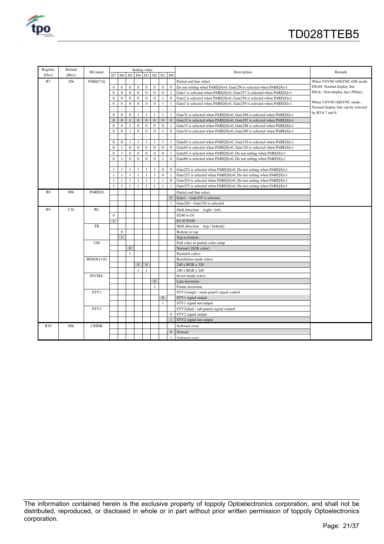

| Register       | Default         |               |              |                                         |                | Setting value    |                  |                |                |              |                                                                         |                                     |
|----------------|-----------------|---------------|--------------|-----------------------------------------|----------------|------------------|------------------|----------------|----------------|--------------|-------------------------------------------------------------------------|-------------------------------------|
| [Dec]          | [Hex]           | Bit name      |              | $D7$ $D6$ $D5$ $D4$ $D3$ $D2$ $D1$ $D0$ |                |                  |                  |                |                |              | Description                                                             | Remark                              |
| R7             | 20 <sub>h</sub> | PARE[7:0]     |              |                                         |                |                  |                  |                |                |              | Partial end line select                                                 | When VSYNC+HSYNC+DE mode,           |
|                |                 |               | $\mathbf{0}$ | $\bf{0}$                                | $\mathbf{0}$   | $\boldsymbol{0}$ | $\boldsymbol{0}$ | $\mathbf{0}$   | $\mathbf{0}$   | $\theta$     | Do not setting when PARE[8]=0, Gate256 is selected when PARE[8]=1       | DE=H: Normal display line           |
|                |                 |               | $\mathbf{0}$ | $\mathbf{0}$                            | $\mathbf{0}$   | $\mathbf{0}$     | $\mathbf{0}$     | $\mathbf{0}$   | $\mathbf{0}$   |              | Gate1 is selected when PARE[8]=0, Gate257 is selected when PARE[8]=1    | DE=L: Non-display line (White)      |
|                |                 |               | $\mathbf{0}$ | $\mathbf{0}$                            | $\mathbf{0}$   | $\mathbf{0}$     | $\mathbf{0}$     | $\mathbf{0}$   | $\mathbf{1}$   | $\Omega$     | Gate2 is selected when PARE[8]=0, Gate258 is selected when PARE[8]=1    |                                     |
|                |                 |               | $\mathbf{0}$ | $\bf{0}$                                | $\mathbf{0}$   | $\bf{0}$         | $\boldsymbol{0}$ | $\mathbf{0}$   | $\mathbf{1}$   |              | Gate3 is selected when PARE[8]=0, Gate259 is selected when PARE[8]=1    | When VSYNC+HSYNC mode,              |
|                |                 |               |              |                                         |                |                  |                  |                |                |              |                                                                         | Normal display line can be selected |
|                |                 |               | $\mathbf{0}$ | $\mathbf{0}$                            | $\mathbf{0}$   | -1               | $\mathbf{1}$     | 1              | $\mathbf{1}$   | $\mathbf{1}$ | Gate31 is selected when PARE[8]=0, Gate286 is selected when PARE[8]=1   | by R5,6,7 and 8.                    |
|                |                 |               | $\mathbf{0}$ | $\mathbf{0}$                            |                | $\mathbf{0}$     | $\mathbf{0}$     | $\mathbf{0}$   | $\mathbf{0}$   | $\Omega$     | Gate32 is selected when PARE[8]=0, Gate287 is selected when PARE[8]=1   |                                     |
|                |                 |               | $\Omega$     | $\mathbf{0}$                            | $\overline{1}$ | $\mathbf{0}$     | $\Omega$         | $\Omega$       | $\theta$       |              | Gate 33 is selected when PARE[8]=0, Gate 288 is selected when PARE[8]=1 |                                     |
|                |                 |               | $\mathbf{0}$ | $\mathbf{0}$                            | $\overline{1}$ | $\mathbf{0}$     | $\mathbf{0}$     | $\mathbf{0}$   | $\mathbf{1}$   | $\mathbf{0}$ | Gate34 is selected when PARE[8]=0, Gate289 is selected when PARE[8]=1   |                                     |
|                |                 |               |              |                                         |                |                  |                  |                |                |              |                                                                         |                                     |
|                |                 |               | $\theta$     | $\mathbf{0}$                            | $\mathbf{1}$   | $\overline{1}$   | $\mathbf{1}$     | $\mathbf{1}$   | $\mathbf{1}$   |              | Gate63 is selected when PARE[8]=0, Gate319 is selected when PARE[8]=1   |                                     |
|                |                 |               | $\mathbf{0}$ | $\mathbf{1}$                            | $\mathbf{0}$   | $\mathbf{0}$     | $\mathbf{0}$     | $\mathbf{0}$   | $\mathbf{0}$   | $\Omega$     | Gate64 is selected when PARE[8]=0, Gate320 is selected when PARE[8]=1   |                                     |
|                |                 |               | $\mathbf{0}$ | $\mathbf{1}$                            | $\mathbf{0}$   | $\mathbf{0}$     | $\mathbf{0}$     | $\mathbf{0}$   | $\mathbf{0}$   |              | Gate65 is selected when PARE[8]=0, Do not setting when PARE[8]=1        |                                     |
|                |                 |               | $\theta$     | $\mathbf{1}$                            | $\theta$       | $\mathbf{0}$     | $\mathbf{0}$     | $\Omega$       | $\mathbf{1}$   | $\theta$     | Gate66 is selected when PARE[8]=0, Do not setting when PARE[8]=1        |                                     |
|                |                 |               |              |                                         |                |                  |                  |                |                |              |                                                                         |                                     |
|                |                 |               |              | $\mathbf{1}$                            | $\mathbf{1}$   | $\mathbf{1}$     | 1                | $\mathbf{1}$   | $\mathbf{0}$   | $\mathbf{0}$ | Gate252 is selected when PARE[8]=0, Do not setting when PARE[8]=1       |                                     |
|                |                 |               |              | $\mathbf{1}$                            | $\overline{1}$ | <sup>1</sup>     | $\mathbf{1}$     | $\overline{1}$ | $\mathbf{0}$   |              | Gate253 is selected when PARE[8]=0, Do not setting when PARE[8]=1       |                                     |
|                |                 |               | $\mathbf{1}$ | $\mathbf{1}$                            | $\mathbf{1}$   | $\mathbf{1}$     | 1                | $\mathbf{1}$   | $\mathbf{1}$   | $\Omega$     | Gate254 is selected when PARE[8]=0, Do not setting when PARE[8]=1       |                                     |
|                |                 |               |              | $\mathbf{1}$                            | $\overline{1}$ | -1               | 1                | $\overline{1}$ | $\overline{1}$ |              | Gate255 is selected when PARE[8]=0, Do not setting when PARE[8]=1       |                                     |
| R8             | 00 <sub>h</sub> | PARE[8]       |              |                                         |                |                  |                  |                |                |              | Partial end line select                                                 |                                     |
|                |                 |               |              |                                         |                |                  |                  |                |                | $\mathbf{0}$ | Gate1 - Gate255 is selected                                             |                                     |
|                |                 |               |              |                                         |                |                  |                  |                |                |              | Gate256 - Gate320 is selected                                           |                                     |
| R <sub>9</sub> | C1h             | RL            |              |                                         |                |                  |                  |                |                |              | Shift direction (right / left)                                          |                                     |
|                |                 |               | $\mathbf{0}$ |                                         |                |                  |                  |                |                |              | D <sub>240</sub> to D <sub>1</sub>                                      |                                     |
|                |                 |               | $\mathbf{1}$ |                                         |                |                  |                  |                |                |              | D1 t0 D240                                                              |                                     |
|                |                 | TB            |              |                                         |                |                  |                  |                |                |              | Shift direction (top / bottom)                                          |                                     |
|                |                 |               |              | $\mathbf{0}$                            |                |                  |                  |                |                |              | Bottom to top                                                           |                                     |
|                |                 |               |              | $\mathbf{1}$                            |                |                  |                  |                |                |              | Top to bottom                                                           |                                     |
|                |                 | <b>CM</b>     |              |                                         |                |                  |                  |                |                |              | Full color or partial color setup                                       |                                     |
|                |                 |               |              |                                         | $\mathbf{0}$   |                  |                  |                |                |              | Normal (262K color)                                                     |                                     |
|                |                 |               |              |                                         | $\overline{1}$ |                  |                  |                |                |              | Partial(8 color)                                                        |                                     |
|                |                 | RESOL[1:0]    |              |                                         |                |                  |                  |                |                |              | Resolution mode select                                                  |                                     |
|                |                 |               |              |                                         |                | $\mathbf{0}$     | $\mathbf{0}$     |                |                |              | 240 x RGB x 320                                                         |                                     |
|                |                 |               |              |                                         |                | $\mathbf{1}$     | 1                |                |                |              | 240 x RGB x 240                                                         |                                     |
|                |                 | <b>INVSEL</b> |              |                                         |                |                  |                  |                |                |              | Invert mode eclect                                                      |                                     |
|                |                 |               |              |                                         |                |                  |                  | $\mathbf{0}$   |                |              | Line inversion                                                          |                                     |
|                |                 |               |              |                                         |                |                  |                  | $\mathbf{1}$   |                |              | Frame inversion                                                         |                                     |
|                |                 | STV1          |              |                                         |                |                  |                  |                |                |              | STV1(single / main panel) signal control                                |                                     |
|                |                 |               |              |                                         |                |                  |                  |                | $\Omega$       |              | STV1 signal output                                                      |                                     |
|                |                 |               |              |                                         |                |                  |                  |                | $\mathbf{1}$   |              | STV1 signal not output                                                  |                                     |
|                |                 | STV2          |              |                                         |                |                  |                  |                |                |              | STV2(dual / sub panel) signal control                                   |                                     |
|                |                 |               |              |                                         |                |                  |                  |                |                | $\Omega$     | STV2 signal output                                                      |                                     |
|                |                 |               |              |                                         |                |                  |                  |                |                |              | STV2 signal not output                                                  |                                     |
| <b>R10</b>     | 00 <sub>h</sub> | <b>CMDR</b>   |              |                                         |                |                  |                  |                |                |              | Software reset                                                          |                                     |
|                |                 |               |              |                                         |                |                  |                  |                |                | $\Omega$     | Normal                                                                  |                                     |
|                |                 |               |              |                                         |                |                  |                  |                |                | $\mathbf{1}$ | Software reset                                                          |                                     |

The information contained herein is the exclusive property of toppoly Optoelectronics corporation, and shall not be distributed, reproduced, or disclosed in whole or in part without prior written permission of toppoly Optoelectronics corporation.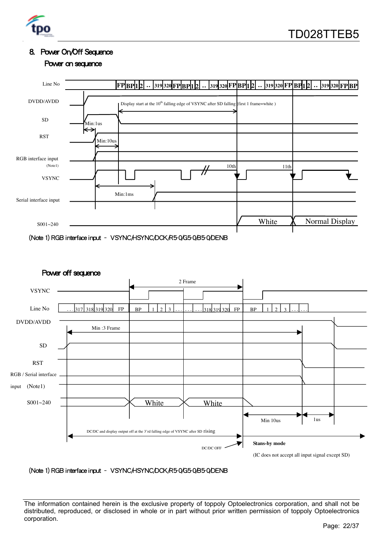

#### 8. Power On/Off Sequence

Power on sequence





(Note 1) RGB interface input – VSYNC/HSYNC/DCK/R5-0/G5-0/B5-0/DENB

The information contained herein is the exclusive property of toppoly Optoelectronics corporation, and shall not be distributed, reproduced, or disclosed in whole or in part without prior written permission of toppoly Optoelectronics corporation.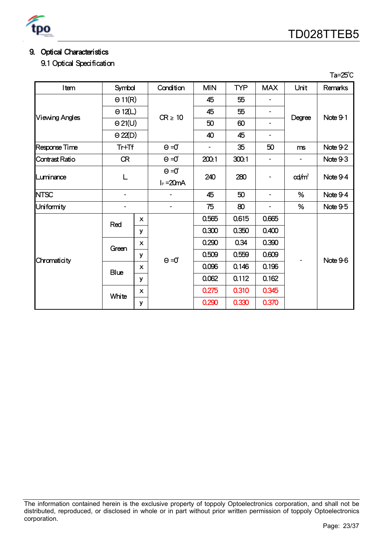

Ta=25℃

# 9. Optical Characteristics

9.1 Optical Specification

| Item                  | Symbol         |                           | Condition    | <b>MIN</b> | <b>TYP</b> | <b>MAX</b>     | Unit         | Remarks  |   |          |     |   |                  |          |
|-----------------------|----------------|---------------------------|--------------|------------|------------|----------------|--------------|----------|---|----------|-----|---|------------------|----------|
|                       | $\Theta$ 11(R) |                           |              | 45         | 55         |                |              |          |   |          |     |   |                  |          |
|                       | $\Theta$ 12(L) |                           | $CR \geq 10$ | 45         | 55         | -              |              | Note 9-1 |   |          |     |   |                  |          |
| <b>Viewing Angles</b> | $\Theta$ 21(U) |                           |              | 50         | 60         | -              | Degree       |          |   |          |     |   |                  |          |
|                       | $\Theta$ 22(D) |                           |              | 40         | 45         | $\overline{a}$ |              |          |   |          |     |   |                  |          |
| Response Time         | $Tr+Tf$        |                           | $\Theta = 0$ | -          | 35         | 50             | ms           | Note 9-2 |   |          |     |   |                  |          |
| Contrast Ratio        | <b>CR</b>      |                           | $\Theta = 0$ | 200:1      | 300:1      | -              | -            | Note 9-3 |   |          |     |   |                  |          |
| Luminance             | L              |                           |              |            |            |                | $\Theta = 0$ |          |   | 240      | 280 | - | $\frac{cd}{m^2}$ | Note 9-4 |
|                       |                |                           | $I_F = 20mA$ |            |            |                |              |          |   |          |     |   |                  |          |
| <b>NTSC</b>           |                |                           |              | 45         | 50         |                | %            | Note 9-4 |   |          |     |   |                  |          |
| Uniformity            |                |                           |              |            |            | 75             | 80           | -        | % | Note 9-5 |     |   |                  |          |
|                       | Red            | $\pmb{\times}$            |              | 0.565      | 0.615      | 0.665          |              |          |   |          |     |   |                  |          |
|                       |                | У                         |              | 0.300      | 0.350      | 0.400          |              |          |   |          |     |   |                  |          |
|                       | Green          | $\boldsymbol{\mathsf{x}}$ |              | 0.290      | 0.34       | 0.390          |              |          |   |          |     |   |                  |          |
| Chromaticity          |                | у                         | $\Theta = 0$ | 0.509      | 0.559      | 0.609          |              | Note 9-6 |   |          |     |   |                  |          |
|                       | <b>Blue</b>    | $\boldsymbol{\mathsf{x}}$ |              | 0.096      | 0.146      | 0.196          |              |          |   |          |     |   |                  |          |
|                       |                | У                         |              | 0.062      | 0.112      | 0.162          |              |          |   |          |     |   |                  |          |
|                       | White          | $\boldsymbol{\mathsf{x}}$ |              | 0.275      | 0.310      | 0.345          |              |          |   |          |     |   |                  |          |
|                       |                | у                         |              | 0.290      | 0.330      | 0.370          |              |          |   |          |     |   |                  |          |

The information contained herein is the exclusive property of toppoly Optoelectronics corporation, and shall not be distributed, reproduced, or disclosed in whole or in part without prior written permission of toppoly Optoelectronics corporation.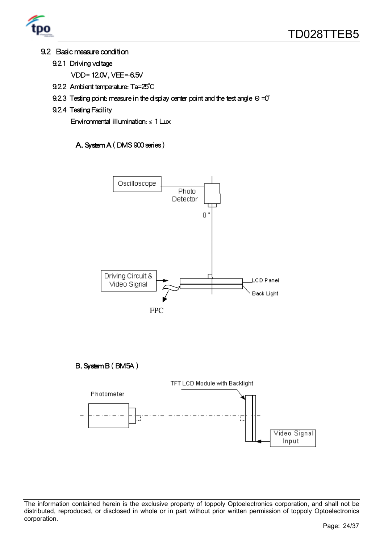

#### 9.2 Basic measure condition

- 9.2.1 Driving voltage
	- VDD= 12.0V, VEE=-6.5V
- 9.2.2 Ambient temperature: Ta=25℃
- 9.2.3 Testing point: measure in the display center point and the test angle Θ=0<sup>°</sup>
- 9.2.4 Testing Facility

Environmental illumination:  $\leq 1$  Lux

#### A. System A ( DMS 900 series )



The information contained herein is the exclusive property of toppoly Optoelectronics corporation, and shall not be distributed, reproduced, or disclosed in whole or in part without prior written permission of toppoly Optoelectronics corporation.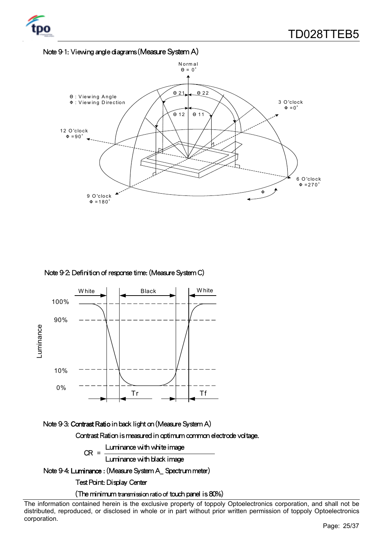



#### Note 9-2: Definition of response time: (Measure System C)



#### Note 9-3: Contrast Ratio in back light on (Measure System A)

Contrast Ration is measured in optimum common electrode voltage.

 $CR =$  Luminance with white image

Luminance with black image

Note 9-4: Luminance : (Measure System A\_ Spectrum meter)

Test Point: Display Center

(The minimum transmission ratio of touch panel is 80%)

The information contained herein is the exclusive property of toppoly Optoelectronics corporation, and shall not be distributed, reproduced, or disclosed in whole or in part without prior written permission of toppoly Optoelectronics corporation.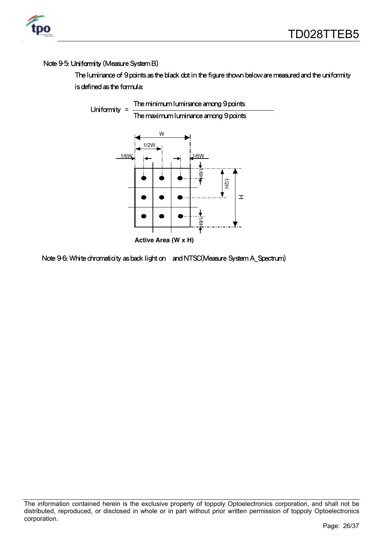#### Note 9-5: Uniformity (Measure System B)

The luminance of 9 points as the black dot in the figure shown below are measured and the uniformity is defined as the formula:



Note 9-6: White chromaticity as back light on and NTSC(Measure System A\_Spectrum)

The information contained herein is the exclusive property of toppoly Optoelectronics corporation, and shall not be distributed, reproduced, or disclosed in whole or in part without prior written permission of toppoly Optoelectronics corporation.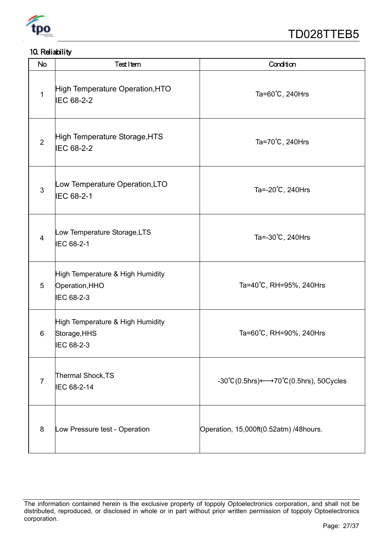

## 10. Reliability

| <b>No</b>      | <b>Test Item</b>                                                 | Condition                                                       |
|----------------|------------------------------------------------------------------|-----------------------------------------------------------------|
| $\mathbf{1}$   | High Temperature Operation, HTO<br>IEC 68-2-2                    | Ta=60°C, 240Hrs                                                 |
| $\overline{2}$ | High Temperature Storage, HTS<br>IEC 68-2-2                      | Ta=70°C, 240Hrs                                                 |
| 3              | Low Temperature Operation, LTO<br>IEC 68-2-1                     | Ta=-20°C, 240Hrs                                                |
| $\overline{4}$ | Low Temperature Storage, LTS<br>IEC 68-2-1                       | Ta=-30°C, 240Hrs                                                |
| 5              | High Temperature & High Humidity<br>Operation, HHO<br>IEC 68-2-3 | Ta=40℃, RH=95%, 240Hrs                                          |
| 6              | High Temperature & High Humidity<br>Storage, HHS<br>IEC 68-2-3   | Ta=60℃, RH=90%, 240Hrs                                          |
| $\overline{7}$ | Thermal Shock, TS<br>IEC 68-2-14                                 | $-30^{\circ}C(0.5) \rightarrow 70^{\circ}C(0.5)$ hrs), 50Cycles |
| 8              | Low Pressure test - Operation                                    | Operation, 15,000ft(0.52atm) /48hours.                          |

The information contained herein is the exclusive property of toppoly Optoelectronics corporation, and shall not be distributed, reproduced, or disclosed in whole or in part without prior written permission of toppoly Optoelectronics corporation.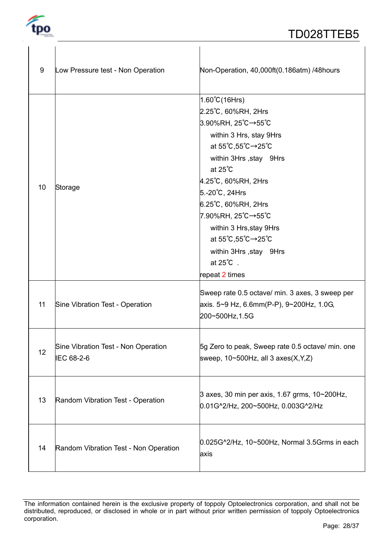

 $\mathbf{I}$ 

| 9  | Low Pressure test - Non Operation                 | Non-Operation, 40,000ft(0.186atm) /48hours                                                                                                                                                                                                                                                                                                                             |
|----|---------------------------------------------------|------------------------------------------------------------------------------------------------------------------------------------------------------------------------------------------------------------------------------------------------------------------------------------------------------------------------------------------------------------------------|
| 10 | Storage                                           | $1.60^{\circ}C(16Hrs)$<br>2.25°C, 60%RH, 2Hrs<br>3.90%RH, 25℃→55℃<br>within 3 Hrs, stay 9Hrs<br>at 55°C,55°C→25°C<br>within 3Hrs, stay 9Hrs<br>at $25^{\circ}$ C<br>4.25°C, 60%RH, 2Hrs<br>5.-20°C, 24Hrs<br>6.25°C, 60%RH, 2Hrs<br>7.90%RH, 25℃→55℃<br>within 3 Hrs, stay 9Hrs<br>at 55°C,55°C→25°C<br>within 3Hrs, stay 9Hrs<br>at $25^{\circ}$ C.<br>repeat 2 times |
| 11 | Sine Vibration Test - Operation                   | Sweep rate 0.5 octave/ min. 3 axes, 3 sweep per<br>axis. 5~9 Hz, 6.6mm(P-P), 9~200Hz, 1.0G,<br>200~500Hz, 1.5G                                                                                                                                                                                                                                                         |
| 12 | Sine Vibration Test - Non Operation<br>IEC 68-2-6 | 5g Zero to peak, Sweep rate 0.5 octave/ min. one<br>sweep, $10 \times 500$ Hz, all 3 axes(X,Y,Z)                                                                                                                                                                                                                                                                       |
| 13 | Random Vibration Test - Operation                 | $3$ axes, 30 min per axis, 1.67 grms, 10~200Hz,<br>0.01G^2/Hz, 200~500Hz, 0.003G^2/Hz                                                                                                                                                                                                                                                                                  |
| 14 | Random Vibration Test - Non Operation             | $0.025G2/Hz$ , 10~500Hz, Normal 3.5Grms in each<br>axis                                                                                                                                                                                                                                                                                                                |

The information contained herein is the exclusive property of toppoly Optoelectronics corporation, and shall not be distributed, reproduced, or disclosed in whole or in part without prior written permission of toppoly Optoelectronics corporation.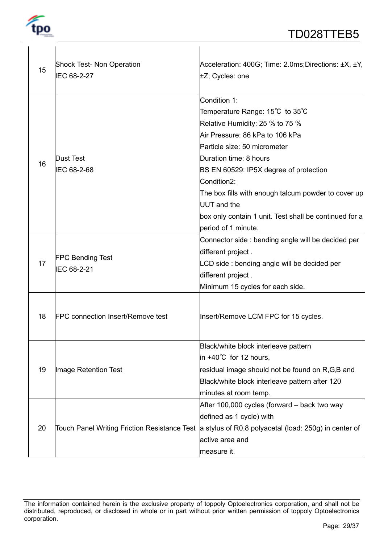

| 15 | Shock Test- Non Operation<br>IEC 68-2-27     | Acceleration: 400G; Time: 2.0ms; Directions: ±X, ±Y,<br>±Z; Cycles: one                                                                                                                                                                                                                                                                                                                                             |
|----|----------------------------------------------|---------------------------------------------------------------------------------------------------------------------------------------------------------------------------------------------------------------------------------------------------------------------------------------------------------------------------------------------------------------------------------------------------------------------|
| 16 | <b>Dust Test</b><br>IEC 68-2-68              | Condition 1:<br>Temperature Range: 15°C to 35°C<br>Relative Humidity: 25 % to 75 %<br>Air Pressure: 86 kPa to 106 kPa<br>Particle size: 50 micrometer<br>Duration time: 8 hours<br>BS EN 60529: IP5X degree of protection<br>Condition <sub>2</sub> :<br>The box fills with enough talcum powder to cover up<br><b>UUT</b> and the<br>box only contain 1 unit. Test shall be continued for a<br>period of 1 minute. |
| 17 | <b>FPC Bending Test</b><br>IEC 68-2-21       | Connector side : bending angle will be decided per<br>different project.<br>LCD side : bending angle will be decided per<br>different project.<br>Minimum 15 cycles for each side.                                                                                                                                                                                                                                  |
| 18 | <b>FPC connection Insert/Remove test</b>     | Insert/Remove LCM FPC for 15 cycles.                                                                                                                                                                                                                                                                                                                                                                                |
| 19 | Image Retention Test                         | Black/white block interleave pattern<br>in $+40^{\circ}$ C for 12 hours,<br>residual image should not be found on R,G,B and<br>Black/white block interleave pattern after 120<br>minutes at room temp.                                                                                                                                                                                                              |
| 20 | Touch Panel Writing Friction Resistance Test | After 100,000 cycles (forward – back two way<br>defined as 1 cycle) with<br>a stylus of R0.8 polyacetal (load: 250g) in center of<br>active area and<br>measure it.                                                                                                                                                                                                                                                 |

The information contained herein is the exclusive property of toppoly Optoelectronics corporation, and shall not be distributed, reproduced, or disclosed in whole or in part without prior written permission of toppoly Optoelectronics corporation.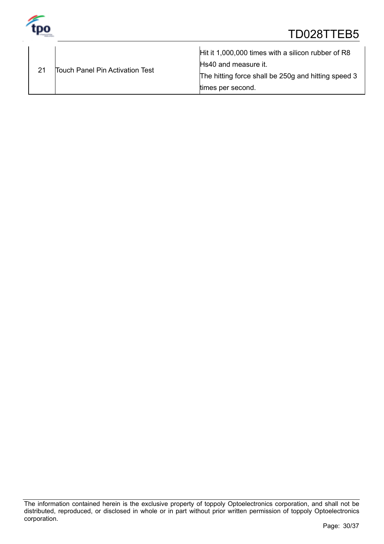

|                                 | Hit it 1,000,000 times with a silicon rubber of R8  |
|---------------------------------|-----------------------------------------------------|
| Touch Panel Pin Activation Test | Hs40 and measure it.                                |
|                                 | The hitting force shall be 250g and hitting speed 3 |
|                                 | times per second.                                   |

The information contained herein is the exclusive property of toppoly Optoelectronics corporation, and shall not be distributed, reproduced, or disclosed in whole or in part without prior written permission of toppoly Optoelectronics corporation.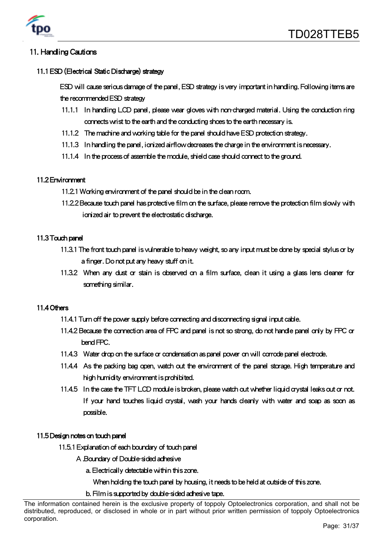

# 11. Handling Cautions

#### 11.1 ESD (Electrical Static Discharge) strategy

ESD will cause serious damage of the panel, ESD strategy is very important in handling. Following items are the recommended ESD strategy

- 11.1.1 In handling LCD panel, please wear gloves with non-charged material. Using the conduction ring connects wrist to the earth and the conducting shoes to the earth necessary is.
- 11.1.2 The machine and working table for the panel should have ESD protection strategy.
- 11.1.3 In handling the panel, ionized airflow decreases the charge in the environment is necessary.
- 11.1.4 In the process of assemble the module, shield case should connect to the ground.

#### 11.2 Environment

- 11.2.1 Working environment of the panel should be in the clean room.
- 11.2.2 Because touch panel has protective film on the surface, please remove the protection film slowly with ionized air to prevent the electrostatic discharge.

#### 11.3 Touch panel

- 11.3.1 The front touch panel is vulnerable to heavy weight, so any input must be done by special stylus or by a finger. Do not put any heavy stuff on it.
- 11.3.2 When any dust or stain is observed on a film surface, clean it using a glass lens cleaner for something similar.

#### 11.4 Others

- 11.4.1 Turn off the power supply before connecting and disconnecting signal input cable.
- 11.4.2 Because the connection area of FPC and panel is not so strong, do not handle panel only by FPC or bend FPC.
- 11.4.3 Water drop on the surface or condensation as panel power on will corrode panel electrode.
- 11.4.4 As the packing bag open, watch out the environment of the panel storage. High temperature and high humidity environment is prohibited.
- 11.4.5 In the case the TFT LCD module is broken, please watch out whether liquid crystal leaks out or not. If your hand touches liquid crystal, wash your hands cleanly with water and soap as soon as possible.

#### 11.5 Design notes on touch panel

- 11.5.1 Explanation of each boundary of touch panel
	- A.Boundary of Double-sided adhesive
		- a. Electrically detectable within this zone.
			- When holding the touch panel by housing, it needs to be held at outside of this zone.
		- b. Film is supported by double-sided adhesive tape.

The information contained herein is the exclusive property of toppoly Optoelectronics corporation, and shall not be distributed, reproduced, or disclosed in whole or in part without prior written permission of toppoly Optoelectronics corporation.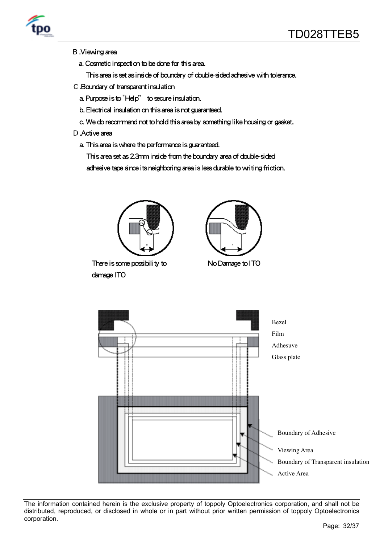

- B.Viewing area
	- a. Cosmetic inspection to be done for this area.
		- This area is set as inside of boundary of double-sided adhesive with tolerance.
- C.Boundary of transparent insulation
	- a. Purpose is to "Help" to secure insulation.
	- b. Electrical insulation on this area is not guaranteed.
	- c. We do recommend not to hold this area by something like housing or gasket.
- D. Active area
	- a. This area is where the performance is guaranteed.

This area set as 2.3mm inside from the boundary area of double-sided

adhesive tape since its neighboring area is less durable to writing friction.



The information contained herein is the exclusive property of toppoly Optoelectronics corporation, and shall not be distributed, reproduced, or disclosed in whole or in part without prior written permission of toppoly Optoelectronics corporation.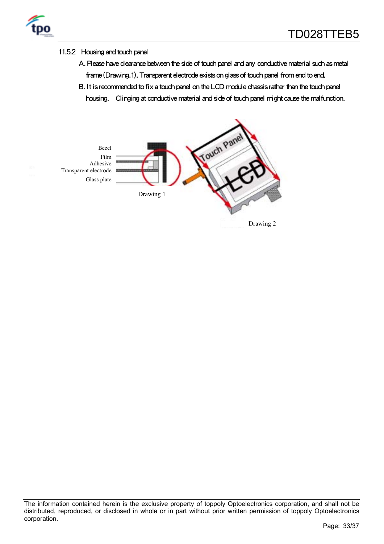

#### 11.5.2 Housing and touch panel

- A. Please have clearance between the side of touch panel and any conductive material such as metal frame (Drawing.1). Transparent electrode exists on glass of touch panel from end to end.
- B. It is recommended to fix a touch panel on the LCD module chassis rather than the touch panel
	- housing. Clinging at conductive material and side of touch panel might cause the malfunction.



The information contained herein is the exclusive property of toppoly Optoelectronics corporation, and shall not be distributed, reproduced, or disclosed in whole or in part without prior written permission of toppoly Optoelectronics corporation.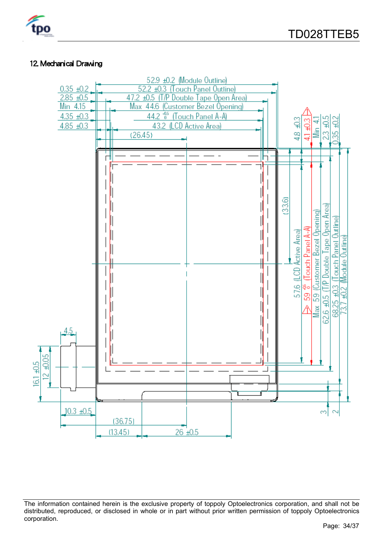#### 12. Mechanical Drawing



The information contained herein is the exclusive property of toppoly Optoelectronics corporation, and shall not be distributed, reproduced, or disclosed in whole or in part without prior written permission of toppoly Optoelectronics corporation.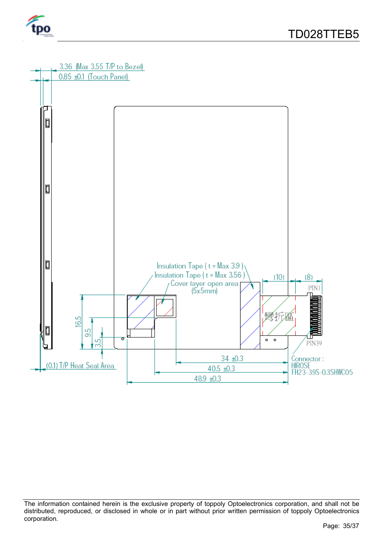



The information contained herein is the exclusive property of toppoly Optoelectronics corporation, and shall not be distributed, reproduced, or disclosed in whole or in part without prior written permission of toppoly Optoelectronics corporation.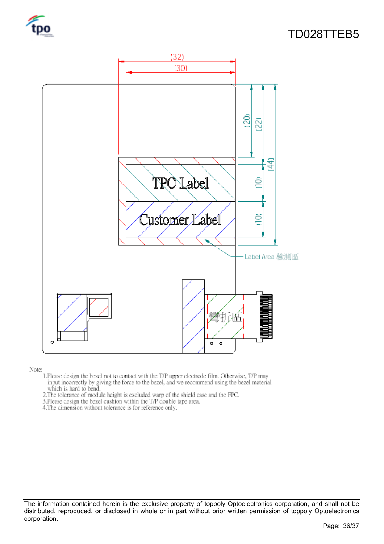

#### Note:

- 1. Please design the bezel not to contact with the T/P upper electrode film. Otherwise, T/P may input incorrectly by giving the force to the bezel, and we recommend using the bezel material which is hard to bend.<br>2. The tolerance of module height is excluded warp of the shield case and the FPC.
- 
- 3. Please design the bezel cushion within the T/P double tape area.
- 4. The dimension without tolerance is for reference only.

The information contained herein is the exclusive property of toppoly Optoelectronics corporation, and shall not be distributed, reproduced, or disclosed in whole or in part without prior written permission of toppoly Optoelectronics corporation.